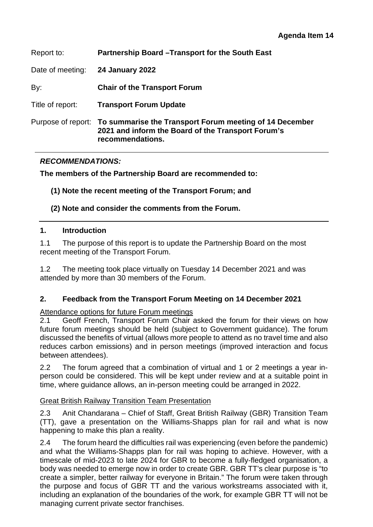| Report to:         | Partnership Board - Transport for the South East                                                                                  |
|--------------------|-----------------------------------------------------------------------------------------------------------------------------------|
| Date of meeting:   | <b>24 January 2022</b>                                                                                                            |
| By:                | <b>Chair of the Transport Forum</b>                                                                                               |
| Title of report:   | <b>Transport Forum Update</b>                                                                                                     |
| Purpose of report: | To summarise the Transport Forum meeting of 14 December<br>2021 and inform the Board of the Transport Forum's<br>recommendations. |

## *RECOMMENDATIONS:*

**The members of the Partnership Board are recommended to:** 

**(1) Note the recent meeting of the Transport Forum; and** 

**(2) Note and consider the comments from the Forum.** 

#### **1. Introduction**

1.1 The purpose of this report is to update the Partnership Board on the most recent meeting of the Transport Forum.

1.2 The meeting took place virtually on Tuesday 14 December 2021 and was attended by more than 30 members of the Forum.

#### **2. Feedback from the Transport Forum Meeting on 14 December 2021**

Attendance options for future Forum meetings

2.1 Geoff French, Transport Forum Chair asked the forum for their views on how future forum meetings should be held (subject to Government guidance). The forum discussed the benefits of virtual (allows more people to attend as no travel time and also reduces carbon emissions) and in person meetings (improved interaction and focus between attendees).

2.2 The forum agreed that a combination of virtual and 1 or 2 meetings a year inperson could be considered. This will be kept under review and at a suitable point in time, where guidance allows, an in-person meeting could be arranged in 2022.

#### Great British Railway Transition Team Presentation

2.3 Anit Chandarana – Chief of Staff, Great British Railway (GBR) Transition Team (TT), gave a presentation on the Williams-Shapps plan for rail and what is now happening to make this plan a reality.

2.4 The forum heard the difficulties rail was experiencing (even before the pandemic) and what the Williams-Shapps plan for rail was hoping to achieve. However, with a timescale of mid-2023 to late 2024 for GBR to become a fully-fledged organisation, a body was needed to emerge now in order to create GBR. GBR TT's clear purpose is "to create a simpler, better railway for everyone in Britain." The forum were taken through the purpose and focus of GBR TT and the various workstreams associated with it, including an explanation of the boundaries of the work, for example GBR TT will not be managing current private sector franchises.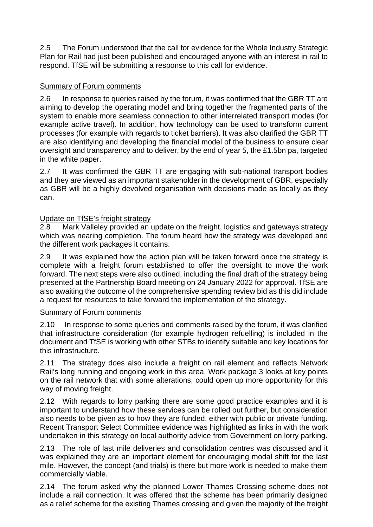2.5 The Forum understood that the call for evidence for the Whole Industry Strategic Plan for Rail had just been published and encouraged anyone with an interest in rail to respond. TfSE will be submitting a response to this call for evidence.

# Summary of Forum comments

2.6 In response to queries raised by the forum, it was confirmed that the GBR TT are aiming to develop the operating model and bring together the fragmented parts of the system to enable more seamless connection to other interrelated transport modes (for example active travel). In addition, how technology can be used to transform current processes (for example with regards to ticket barriers). It was also clarified the GBR TT are also identifying and developing the financial model of the business to ensure clear oversight and transparency and to deliver, by the end of year 5, the £1.5bn pa, targeted in the white paper.

2.7 It was confirmed the GBR TT are engaging with sub-national transport bodies and they are viewed as an important stakeholder in the development of GBR, especially as GBR will be a highly devolved organisation with decisions made as locally as they can.

## Update on TfSE's freight strategy

2.8 Mark Valleley provided an update on the freight, logistics and gateways strategy which was nearing completion. The forum heard how the strategy was developed and the different work packages it contains.

2.9 It was explained how the action plan will be taken forward once the strategy is complete with a freight forum established to offer the oversight to move the work forward. The next steps were also outlined, including the final draft of the strategy being presented at the Partnership Board meeting on 24 January 2022 for approval. TfSE are also awaiting the outcome of the comprehensive spending review bid as this did include a request for resources to take forward the implementation of the strategy.

## Summary of Forum comments

2.10 In response to some queries and comments raised by the forum, it was clarified that infrastructure consideration (for example hydrogen refuelling) is included in the document and TfSE is working with other STBs to identify suitable and key locations for this infrastructure.

2.11 The strategy does also include a freight on rail element and reflects Network Rail's long running and ongoing work in this area. Work package 3 looks at key points on the rail network that with some alterations, could open up more opportunity for this way of moving freight.

2.12 With regards to lorry parking there are some good practice examples and it is important to understand how these services can be rolled out further, but consideration also needs to be given as to how they are funded, either with public or private funding. Recent Transport Select Committee evidence was highlighted as links in with the work undertaken in this strategy on local authority advice from Government on lorry parking.

2.13 The role of last mile deliveries and consolidation centres was discussed and it was explained they are an important element for encouraging modal shift for the last mile. However, the concept (and trials) is there but more work is needed to make them commercially viable.

2.14 The forum asked why the planned Lower Thames Crossing scheme does not include a rail connection. It was offered that the scheme has been primarily designed as a relief scheme for the existing Thames crossing and given the majority of the freight